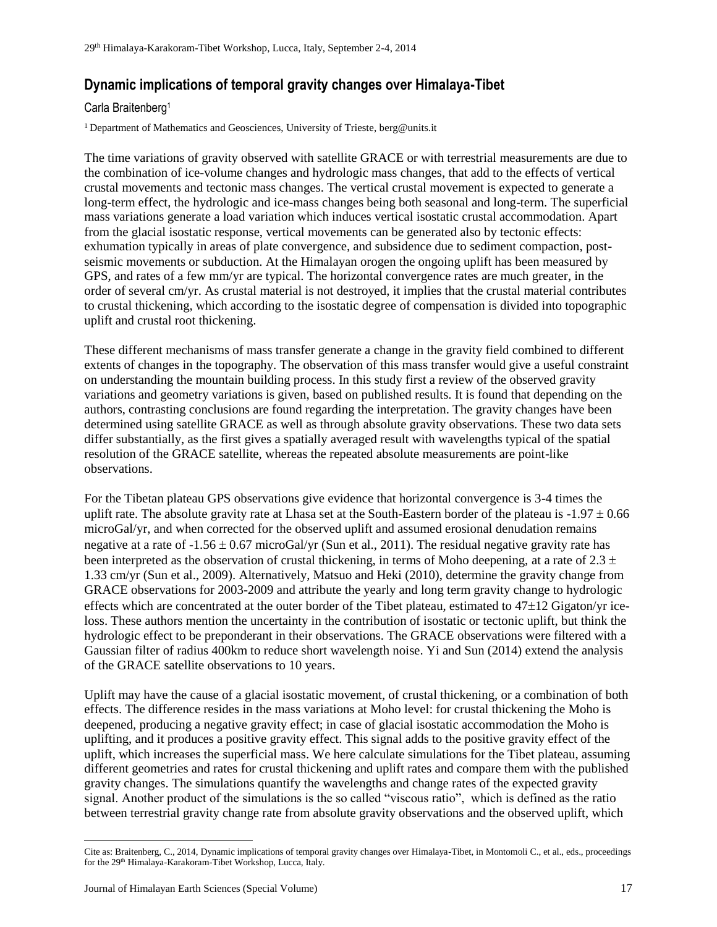## **Dynamic implications of temporal gravity changes over Himalaya-Tibet \***

## Carla Braitenberg<sup>1</sup>

<sup>1</sup> Department of Mathematics and Geosciences, University of Trieste, berg@units.it

The time variations of gravity observed with satellite GRACE or with terrestrial measurements are due to the combination of ice-volume changes and hydrologic mass changes, that add to the effects of vertical crustal movements and tectonic mass changes. The vertical crustal movement is expected to generate a long-term effect, the hydrologic and ice-mass changes being both seasonal and long-term. The superficial mass variations generate a load variation which induces vertical isostatic crustal accommodation. Apart from the glacial isostatic response, vertical movements can be generated also by tectonic effects: exhumation typically in areas of plate convergence, and subsidence due to sediment compaction, postseismic movements or subduction. At the Himalayan orogen the ongoing uplift has been measured by GPS, and rates of a few mm/yr are typical. The horizontal convergence rates are much greater, in the order of several cm/yr. As crustal material is not destroyed, it implies that the crustal material contributes to crustal thickening, which according to the isostatic degree of compensation is divided into topographic uplift and crustal root thickening.

These different mechanisms of mass transfer generate a change in the gravity field combined to different extents of changes in the topography. The observation of this mass transfer would give a useful constraint on understanding the mountain building process. In this study first a review of the observed gravity variations and geometry variations is given, based on published results. It is found that depending on the authors, contrasting conclusions are found regarding the interpretation. The gravity changes have been determined using satellite GRACE as well as through absolute gravity observations. These two data sets differ substantially, as the first gives a spatially averaged result with wavelengths typical of the spatial resolution of the GRACE satellite, whereas the repeated absolute measurements are point-like observations.

For the Tibetan plateau GPS observations give evidence that horizontal convergence is 3-4 times the uplift rate. The absolute gravity rate at Lhasa set at the South-Eastern border of the plateau is  $-1.97 \pm 0.66$ microGal/yr, and when corrected for the observed uplift and assumed erosional denudation remains negative at a rate of  $-1.56 \pm 0.67$  microGal/yr (Sun et al., 2011). The residual negative gravity rate has been interpreted as the observation of crustal thickening, in terms of Moho deepening, at a rate of 2.3  $\pm$ 1.33 cm/yr (Sun et al., 2009). Alternatively, Matsuo and Heki (2010), determine the gravity change from GRACE observations for 2003-2009 and attribute the yearly and long term gravity change to hydrologic effects which are concentrated at the outer border of the Tibet plateau, estimated to  $47\pm12$  Gigaton/yr iceloss. These authors mention the uncertainty in the contribution of isostatic or tectonic uplift, but think the hydrologic effect to be preponderant in their observations. The GRACE observations were filtered with a Gaussian filter of radius 400km to reduce short wavelength noise. Yi and Sun (2014) extend the analysis of the GRACE satellite observations to 10 years.

Uplift may have the cause of a glacial isostatic movement, of crustal thickening, or a combination of both effects. The difference resides in the mass variations at Moho level: for crustal thickening the Moho is deepened, producing a negative gravity effect; in case of glacial isostatic accommodation the Moho is uplifting, and it produces a positive gravity effect. This signal adds to the positive gravity effect of the uplift, which increases the superficial mass. We here calculate simulations for the Tibet plateau, assuming different geometries and rates for crustal thickening and uplift rates and compare them with the published gravity changes. The simulations quantify the wavelengths and change rates of the expected gravity signal. Another product of the simulations is the so called "viscous ratio", which is defined as the ratio between terrestrial gravity change rate from absolute gravity observations and the observed uplift, which

 $\overline{\phantom{a}}$ 

Cite as: Braitenberg, C., 2014, Dynamic implications of temporal gravity changes over Himalaya-Tibet, in Montomoli C., et al., eds., proceedings for the 29<sup>th</sup> Himalaya-Karakoram-Tibet Workshop, Lucca, Italy.